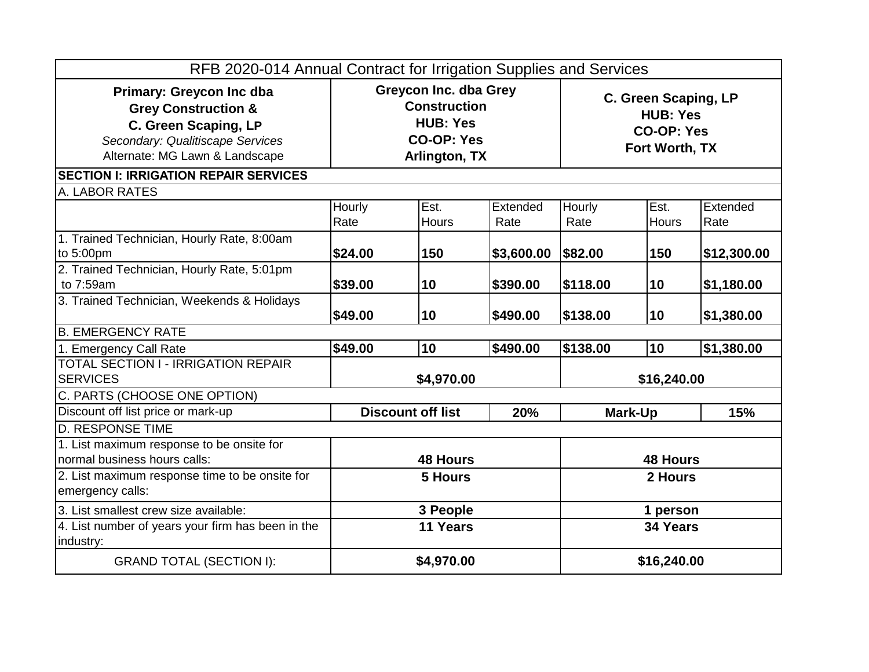| RFB 2020-014 Annual Contract for Irrigation Supplies and Services                                                                                               |                                                                                                       |              |                 |                                                                         |              |             |
|-----------------------------------------------------------------------------------------------------------------------------------------------------------------|-------------------------------------------------------------------------------------------------------|--------------|-----------------|-------------------------------------------------------------------------|--------------|-------------|
| <b>Primary: Greycon Inc dba</b><br><b>Grey Construction &amp;</b><br>C. Green Scaping, LP<br>Secondary: Qualitiscape Services<br>Alternate: MG Lawn & Landscape | <b>Greycon Inc. dba Grey</b><br><b>Construction</b><br><b>HUB: Yes</b><br>CO-OP: Yes<br>Arlington, TX |              |                 | C. Green Scaping, LP<br><b>HUB: Yes</b><br>CO-OP: Yes<br>Fort Worth, TX |              |             |
| <b>SECTION I: IRRIGATION REPAIR SERVICES</b>                                                                                                                    |                                                                                                       |              |                 |                                                                         |              |             |
| A. LABOR RATES                                                                                                                                                  |                                                                                                       |              |                 |                                                                         |              |             |
|                                                                                                                                                                 | <b>Hourly</b>                                                                                         | Est.         | Extended        | Hourly                                                                  | Est.         | Extended    |
|                                                                                                                                                                 | Rate                                                                                                  | <b>Hours</b> | Rate            | Rate                                                                    | <b>Hours</b> | Rate        |
| 1. Trained Technician, Hourly Rate, 8:00am                                                                                                                      |                                                                                                       |              |                 |                                                                         |              |             |
| to 5:00pm                                                                                                                                                       | \$24.00                                                                                               | 150          | \$3,600.00      | \$82.00                                                                 | 150          | \$12,300.00 |
| 2. Trained Technician, Hourly Rate, 5:01pm                                                                                                                      |                                                                                                       |              |                 |                                                                         |              |             |
| to 7:59am                                                                                                                                                       | \$39.00                                                                                               | 10           | \$390.00        | \$118.00                                                                | 10           | \$1,180.00  |
| 3. Trained Technician, Weekends & Holidays                                                                                                                      |                                                                                                       |              |                 |                                                                         |              |             |
|                                                                                                                                                                 | \$49.00                                                                                               | 10           | \$490.00        | \$138.00                                                                | 10           | \$1,380.00  |
| <b>B. EMERGENCY RATE</b>                                                                                                                                        |                                                                                                       |              |                 |                                                                         |              |             |
| 1. Emergency Call Rate                                                                                                                                          | \$49.00                                                                                               | 10           | \$490.00        | \$138.00                                                                | 10           | \$1,380.00  |
| <b>TOTAL SECTION I - IRRIGATION REPAIR</b>                                                                                                                      |                                                                                                       |              |                 |                                                                         |              |             |
| <b>SERVICES</b>                                                                                                                                                 | \$4,970.00                                                                                            |              | \$16,240.00     |                                                                         |              |             |
| C. PARTS (CHOOSE ONE OPTION)                                                                                                                                    |                                                                                                       |              |                 |                                                                         |              |             |
| Discount off list price or mark-up                                                                                                                              | <b>Discount off list</b><br>20%                                                                       |              | Mark-Up         |                                                                         | 15%          |             |
| <b>D. RESPONSE TIME</b>                                                                                                                                         |                                                                                                       |              |                 |                                                                         |              |             |
| 1. List maximum response to be onsite for                                                                                                                       |                                                                                                       |              |                 |                                                                         |              |             |
| normal business hours calls:                                                                                                                                    | <b>48 Hours</b>                                                                                       |              | <b>48 Hours</b> |                                                                         |              |             |
| 2. List maximum response time to be onsite for                                                                                                                  | <b>5 Hours</b>                                                                                        |              | 2 Hours         |                                                                         |              |             |
| emergency calls:                                                                                                                                                |                                                                                                       |              |                 |                                                                         |              |             |
| 3. List smallest crew size available:                                                                                                                           | 3 People                                                                                              |              | 1 person        |                                                                         |              |             |
| 4. List number of years your firm has been in the                                                                                                               | 11 Years                                                                                              |              | 34 Years        |                                                                         |              |             |
| industry:                                                                                                                                                       |                                                                                                       |              |                 |                                                                         |              |             |
| <b>GRAND TOTAL (SECTION I):</b>                                                                                                                                 | \$4,970.00                                                                                            |              | \$16,240.00     |                                                                         |              |             |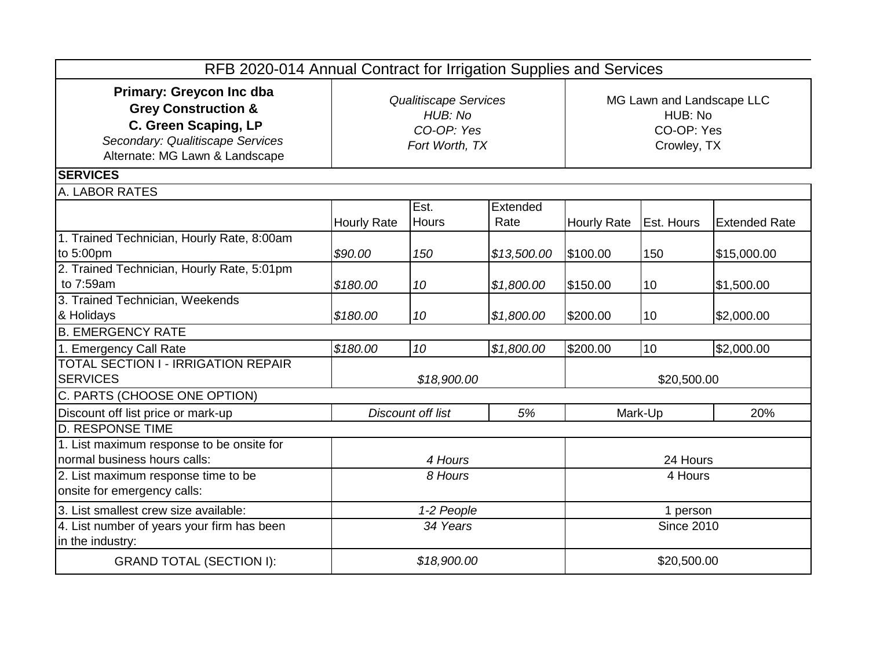| RFB 2020-014 Annual Contract for Irrigation Supplies and Services                                                                                               |                                                                         |                   |                   |                                                                   |                   |                      |
|-----------------------------------------------------------------------------------------------------------------------------------------------------------------|-------------------------------------------------------------------------|-------------------|-------------------|-------------------------------------------------------------------|-------------------|----------------------|
| <b>Primary: Greycon Inc dba</b><br><b>Grey Construction &amp;</b><br>C. Green Scaping, LP<br>Secondary: Qualitiscape Services<br>Alternate: MG Lawn & Landscape | <b>Qualitiscape Services</b><br>HUB: No<br>CO-OP: Yes<br>Fort Worth, TX |                   |                   | MG Lawn and Landscape LLC<br>HUB: No<br>CO-OP: Yes<br>Crowley, TX |                   |                      |
| <b>SERVICES</b>                                                                                                                                                 |                                                                         |                   |                   |                                                                   |                   |                      |
| A. LABOR RATES                                                                                                                                                  |                                                                         |                   |                   |                                                                   |                   |                      |
|                                                                                                                                                                 | <b>Hourly Rate</b>                                                      | Est.<br>Hours     | Extended<br>Rate  | Hourly Rate                                                       | <b>Est. Hours</b> | <b>Extended Rate</b> |
| 1. Trained Technician, Hourly Rate, 8:00am<br>to 5:00pm                                                                                                         | \$90.00                                                                 | 150               | \$13,500.00       | \$100.00                                                          | 150               | \$15,000.00          |
| 2. Trained Technician, Hourly Rate, 5:01pm<br>to 7:59am                                                                                                         | \$180.00                                                                | 10                | \$1,800.00        | \$150.00                                                          | 10                | \$1,500.00           |
| 3. Trained Technician, Weekends<br>& Holidays                                                                                                                   | \$180.00                                                                | 10                | \$1,800.00        | \$200.00                                                          | 10                | \$2,000.00           |
| <b>B. EMERGENCY RATE</b>                                                                                                                                        |                                                                         |                   |                   |                                                                   |                   |                      |
| 1. Emergency Call Rate                                                                                                                                          | \$180.00                                                                | 10                | \$1,800.00        | \$200.00                                                          | 10                | \$2,000.00           |
| <b>TOTAL SECTION I - IRRIGATION REPAIR</b><br><b>SERVICES</b>                                                                                                   | \$18,900.00                                                             |                   | \$20,500.00       |                                                                   |                   |                      |
| C. PARTS (CHOOSE ONE OPTION)                                                                                                                                    |                                                                         |                   |                   |                                                                   |                   |                      |
| Discount off list price or mark-up                                                                                                                              |                                                                         | Discount off list | 5%                |                                                                   | Mark-Up           | 20%                  |
| <b>D. RESPONSE TIME</b>                                                                                                                                         |                                                                         |                   |                   |                                                                   |                   |                      |
| 1. List maximum response to be onsite for<br>normal business hours calls:                                                                                       |                                                                         | 4 Hours           |                   |                                                                   | 24 Hours          |                      |
| 2. List maximum response time to be<br>onsite for emergency calls:                                                                                              | 8 Hours                                                                 |                   | 4 Hours           |                                                                   |                   |                      |
| 3. List smallest crew size available:                                                                                                                           | 1-2 People                                                              |                   |                   | 1 person                                                          |                   |                      |
| 4. List number of years your firm has been<br>in the industry:                                                                                                  | 34 Years                                                                |                   | <b>Since 2010</b> |                                                                   |                   |                      |
| <b>GRAND TOTAL (SECTION I):</b>                                                                                                                                 |                                                                         | \$18,900.00       |                   | \$20,500.00                                                       |                   |                      |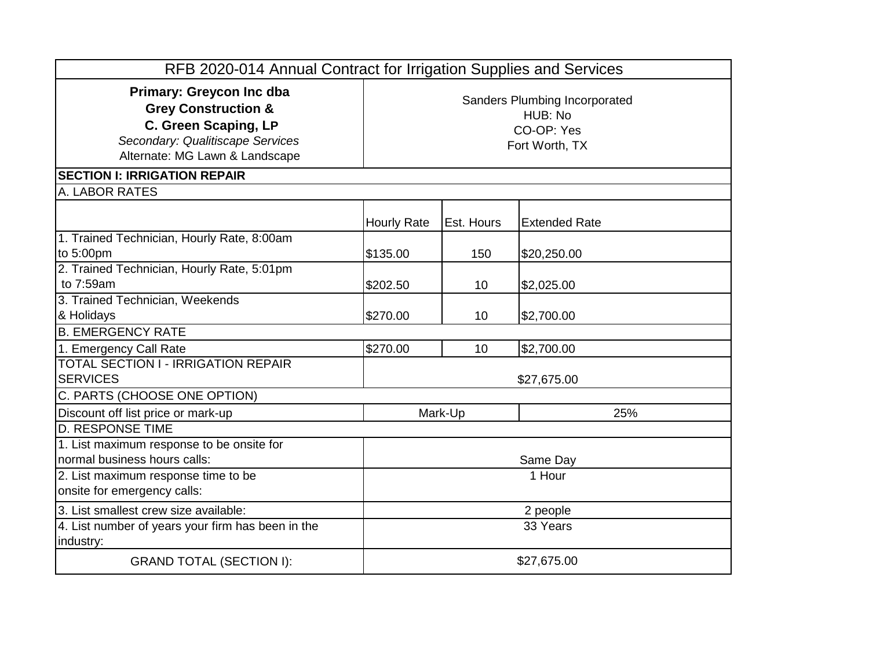| RFB 2020-014 Annual Contract for Irrigation Supplies and Services                                                                                               |                                                                          |            |                      |  |
|-----------------------------------------------------------------------------------------------------------------------------------------------------------------|--------------------------------------------------------------------------|------------|----------------------|--|
| <b>Primary: Greycon Inc dba</b><br><b>Grey Construction &amp;</b><br>C. Green Scaping, LP<br>Secondary: Qualitiscape Services<br>Alternate: MG Lawn & Landscape | Sanders Plumbing Incorporated<br>HUB: No<br>CO-OP: Yes<br>Fort Worth, TX |            |                      |  |
| <b>SECTION I: IRRIGATION REPAIR</b>                                                                                                                             |                                                                          |            |                      |  |
| A. LABOR RATES                                                                                                                                                  |                                                                          |            |                      |  |
|                                                                                                                                                                 | <b>Hourly Rate</b>                                                       | Est. Hours | <b>Extended Rate</b> |  |
| 1. Trained Technician, Hourly Rate, 8:00am<br>to 5:00pm                                                                                                         | \$135.00                                                                 | 150        | \$20,250.00          |  |
| 2. Trained Technician, Hourly Rate, 5:01pm<br>to 7:59am                                                                                                         | \$202.50                                                                 | 10         | \$2,025.00           |  |
| 3. Trained Technician, Weekends<br>& Holidays                                                                                                                   | \$270.00                                                                 | 10         | \$2,700.00           |  |
| <b>B. EMERGENCY RATE</b>                                                                                                                                        |                                                                          |            |                      |  |
| 1. Emergency Call Rate                                                                                                                                          | \$270.00                                                                 | 10         | \$2,700.00           |  |
| <b>TOTAL SECTION I - IRRIGATION REPAIR</b><br><b>SERVICES</b>                                                                                                   | \$27,675.00                                                              |            |                      |  |
| C. PARTS (CHOOSE ONE OPTION)                                                                                                                                    |                                                                          |            |                      |  |
| Discount off list price or mark-up                                                                                                                              | 25%<br>Mark-Up                                                           |            |                      |  |
| <b>D. RESPONSE TIME</b>                                                                                                                                         |                                                                          |            |                      |  |
| 1. List maximum response to be onsite for<br>normal business hours calls:                                                                                       |                                                                          |            | Same Day             |  |
| 2. List maximum response time to be<br>onsite for emergency calls:                                                                                              |                                                                          |            | 1 Hour               |  |
| 3. List smallest crew size available:                                                                                                                           | 2 people                                                                 |            |                      |  |
| 4. List number of years your firm has been in the<br>industry:                                                                                                  | 33 Years                                                                 |            |                      |  |
| <b>GRAND TOTAL (SECTION I):</b>                                                                                                                                 | \$27,675.00                                                              |            |                      |  |